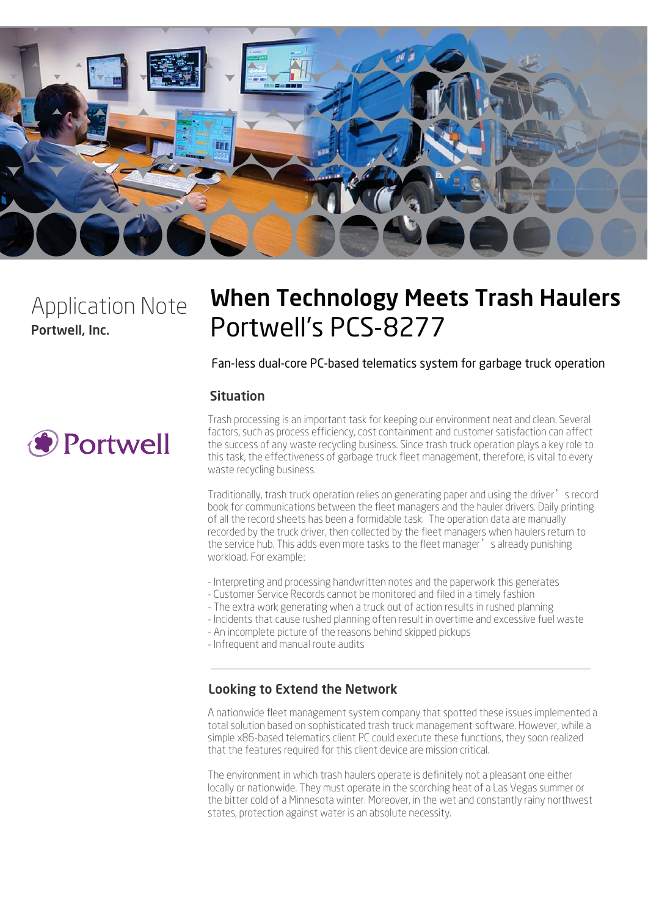

Portwell, Inc. Application Note

# When Technology Meets Trash Haulers Portwell's PCS-8277

Fan-less dual-core PC-based telematics system for garbage truck operation

## Situation



Trash processing is an important task for keeping our environment neat and clean. Several factors, such as process efficiency, cost containment and customer satisfaction can affect the success of any waste recycling business. Since trash truck operation plays a key role to this task, the effectiveness of garbage truck fleet management, therefore, is vital to every waste recycling business.

Traditionally, trash truck operation relies on generating paper and using the driver's record book for communications between the fleet managers and the hauler drivers. Daily printing of all the record sheets has been a formidable task. The operation data are manually recorded by the truck driver, then collected by the fleet managers when haulers return to the service hub. This adds even more tasks to the fleet manager's already punishing workload. For example:

- Interpreting and processing handwritten notes and the paperwork this generates
- Customer Service Records cannot be monitored and filed in a timely fashion
- The extra work generating when a truck out of action results in rushed planning
- Incidents that cause rushed planning often result in overtime and excessive fuel waste
- An incomplete picture of the reasons behind skipped pickups
- Infrequent and manual route audits

#### Looking to Extend the Network

A nationwide fleet management system company that spotted these issues implemented a total solution based on sophisticated trash truck management software. However, while a simple x86-based telematics client PC could execute these functions, they soon realized that the features required for this client device are mission critical.

The environment in which trash haulers operate is definitely not a pleasant one either locally or nationwide. They must operate in the scorching heat of a Las Vegas summer or the bitter cold of a Minnesota winter. Moreover, in the wet and constantly rainy northwest states, protection against water is an absolute necessity.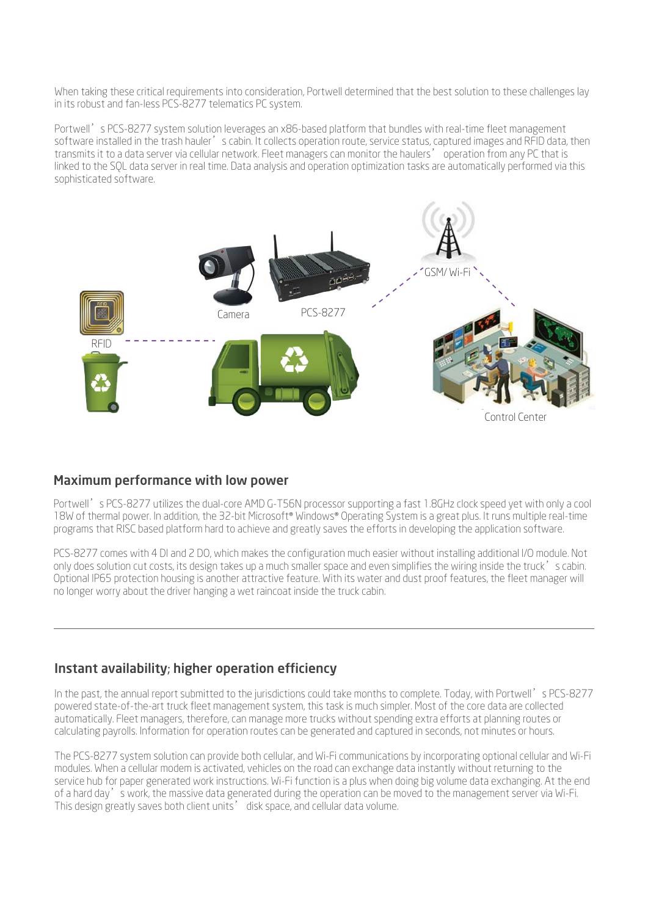When taking these critical requirements into consideration, Portwell determined that the best solution to these challenges lay in its robust and fan-less PCS-8277 telematics PC system.

Portwell's PCS-8277 system solution leverages an x86-based platform that bundles with real-time fleet management software installed in the trash hauler's cabin. It collects operation route, service status, captured images and RFID data, then transmits it to a data server via cellular network. Fleet managers can monitor the haulers' operation from any PC that is linked to the SQL data server in real time. Data analysis and operation optimization tasks are automatically performed via this sophisticated software.



#### Maximum performance with low power

Portwell's PCS-8277 utilizes the dual-core AMD G-T56N processor supporting a fast 1.8GHz clock speed yet with only a cool 18W of thermal power. In addition, the 32-bit Microsoft® Windows® Operating System is a great plus. It runs multiple real-time programs that RISC based platform hard to achieve and greatly saves the efforts in developing the application software.

PCS-8277 comes with 4 DI and 2 DO, which makes the configuration much easier without installing additional I/O module. Not only does solution cut costs, its design takes up a much smaller space and even simplifies the wiring inside the truck's cabin. Optional IP65 protection housing is another attractive feature. With its water and dust proof features, the fleet manager will no longer worry about the driver hanging a wet raincoat inside the truck cabin.

## Instant availability; higher operation efficiency

In the past, the annual report submitted to the jurisdictions could take months to complete. Today, with Portwell's PCS-8277 powered state-of-the-art truck fleet management system, this task is much simpler. Most of the core data are collected automatically. Fleet managers, therefore, can manage more trucks without spending extra efforts at planning routes or calculating payrolls. Information for operation routes can be generated and captured in seconds, not minutes or hours.

The PCS-8277 system solution can provide both cellular, and Wi-Fi communications by incorporating optional cellular and Wi-Fi modules. When a cellular modem is activated, vehicles on the road can exchange data instantly without returning to the service hub for paper generated work instructions. Wi-Fi function is a plus when doing big volume data exchanging. At the end of a hard day's work, the massive data generated during the operation can be moved to the management server via Wi-Fi. This design greatly saves both client units' disk space, and cellular data volume.